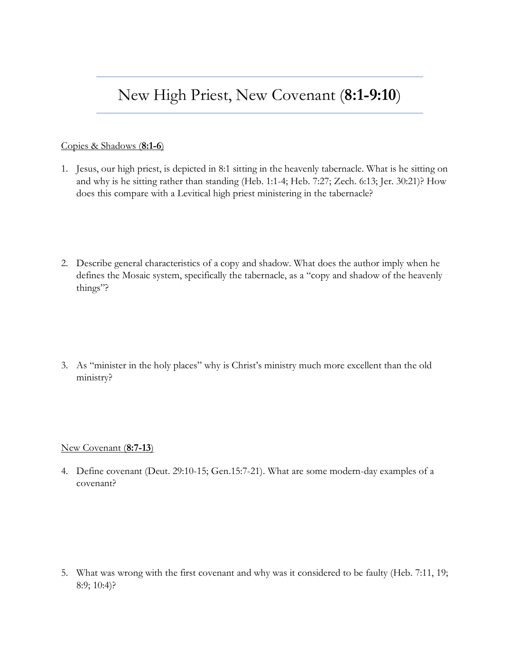## New High Priest, New Covenant (**8:1-9:10**)

## Copies & Shadows (**8:1-6**)

- 1. Jesus, our high priest, is depicted in 8:1 sitting in the heavenly tabernacle. What is he sitting on and why is he sitting rather than standing (Heb. 1:1-4; Heb. 7:27; Zech. 6:13; Jer. 30:21)? How does this compare with a Levitical high priest ministering in the tabernacle?
- 2. Describe general characteristics of a copy and shadow. What does the author imply when he defines the Mosaic system, specifically the tabernacle, as a "copy and shadow of the heavenly things"?
- 3. As "minister in the holy places" why is Christ's ministry much more excellent than the old ministry?

## New Covenant (**8:7-13**)

4. Define covenant (Deut. 29:10-15; Gen.15:7-21). What are some modern-day examples of a covenant?

5. What was wrong with the first covenant and why was it considered to be faulty (Heb. 7:11, 19; 8:9; 10:4)?